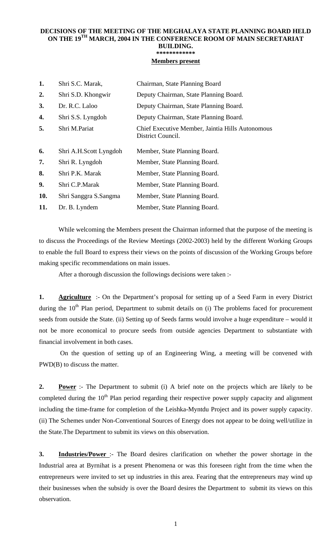## **DECISIONS OF THE MEETING OF THE MEGHALAYA STATE PLANNING BOARD HELD ON THE 19TH MARCH, 2004 IN THE CONFERENCE ROOM OF MAIN SECRETARIAT BUILDING. \*\*\*\*\*\*\*\*\*\*\*\***

## **Members present**

| 1.  | Shri S.C. Marak,       | Chairman, State Planning Board                                        |
|-----|------------------------|-----------------------------------------------------------------------|
| 2.  | Shri S.D. Khongwir     | Deputy Chairman, State Planning Board.                                |
| 3.  | Dr. R.C. Laloo         | Deputy Chairman, State Planning Board.                                |
| 4.  | Shri S.S. Lyngdoh      | Deputy Chairman, State Planning Board.                                |
| 5.  | Shri M.Pariat          | Chief Executive Member, Jaintia Hills Autonomous<br>District Council. |
| 6.  | Shri A.H.Scott Lyngdoh | Member, State Planning Board.                                         |
| 7.  | Shri R. Lyngdoh        | Member, State Planning Board.                                         |
| 8.  | Shri P.K. Marak        | Member, State Planning Board.                                         |
| 9.  | Shri C.P.Marak         | Member, State Planning Board.                                         |
| 10. | Shri Sanggra S.Sangma  | Member, State Planning Board.                                         |
| 11. | Dr. B. Lyndem          | Member, State Planning Board.                                         |

 While welcoming the Members present the Chairman informed that the purpose of the meeting is to discuss the Proceedings of the Review Meetings (2002-2003) held by the different Working Groups to enable the full Board to express their views on the points of discussion of the Working Groups before making specific recommendations on main issues.

After a thorough discussion the followings decisions were taken :-

**1. Agriculture** :- On the Department's proposal for setting up of a Seed Farm in every District during the 10<sup>th</sup> Plan period, Department to submit details on (i) The problems faced for procurement seeds from outside the State. (ii) Setting up of Seeds farms would involve a huge expenditure – would it not be more economical to procure seeds from outside agencies Department to substantiate with financial involvement in both cases.

 On the question of setting up of an Engineering Wing, a meeting will be convened with PWD(B) to discuss the matter.

**2. Power** :- The Department to submit (i) A brief note on the projects which are likely to be completed during the  $10<sup>th</sup>$  Plan period regarding their respective power supply capacity and alignment including the time-frame for completion of the Leishka-Myntdu Project and its power supply capacity. (ii) The Schemes under Non-Conventional Sources of Energy does not appear to be doing well/utilize in the State.The Department to submit its views on this observation.

**3. Industries/Power** :- The Board desires clarification on whether the power shortage in the Industrial area at Byrnihat is a present Phenomena or was this foreseen right from the time when the entrepreneurs were invited to set up industries in this area. Fearing that the entrepreneurs may wind up their businesses when the subsidy is over the Board desires the Department to submit its views on this observation.